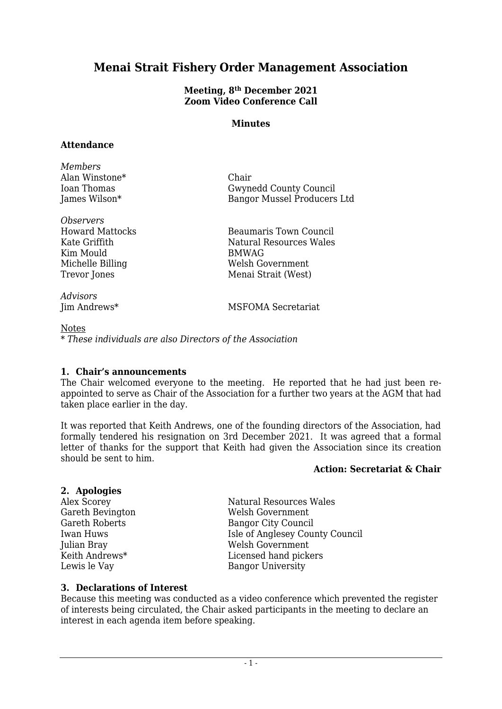## **Menai Strait Fishery Order Management Association**

#### **Meeting, 8 th December 2021 Zoom Video Conference Call**

#### **Minutes**

#### **Attendance**

*Members* Alan Winstone\* Chair Ioan Thomas Gwynedd County Council<br>Iames Wilson\* Bangor Mussel Producers Bangor Mussel Producers Ltd

*Observers* Howard Mattocks Beaumaris Town Council Kate Griffith Natural Resources Wales Kim Mould BMWAG Michelle Billing Welsh Government Trevor Jones Menai Strait (West)

*Advisors* Iim Andrews\* MSFOMA Secretariat

**Notes** *\* These individuals are also Directors of the Association*

#### **1. Chair's announcements**

The Chair welcomed everyone to the meeting. He reported that he had just been reappointed to serve as Chair of the Association for a further two years at the AGM that had taken place earlier in the day.

It was reported that Keith Andrews, one of the founding directors of the Association, had formally tendered his resignation on 3rd December 2021. It was agreed that a formal letter of thanks for the support that Keith had given the Association since its creation should be sent to him.

#### **Action: Secretariat & Chair**

#### **2. Apologies**

Alex Scorey Natural Resources Wales Gareth Bevington Welsh Government Gareth Roberts Bangor City Council Iwan Huws Isle of Anglesey County Council Julian Bray Welsh Government Keith Andrews\* Licensed hand pickers Bangor University

## **3. Declarations of Interest**

Because this meeting was conducted as a video conference which prevented the register of interests being circulated, the Chair asked participants in the meeting to declare an interest in each agenda item before speaking.

- 1 -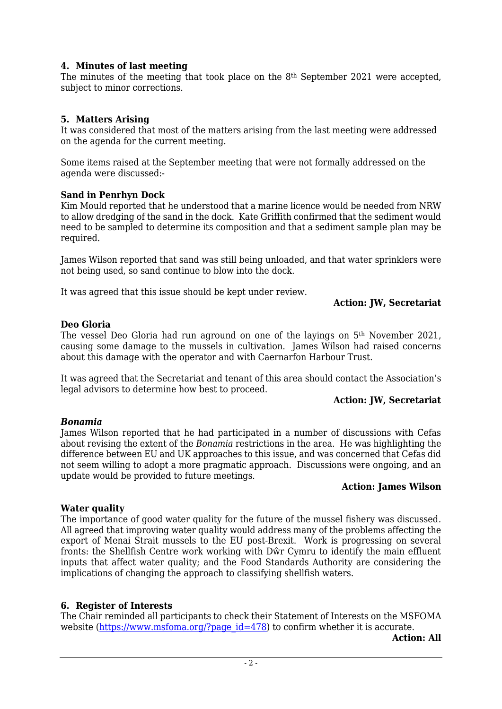#### **4. Minutes of last meeting**

The minutes of the meeting that took place on the 8th September 2021 were accepted, subject to minor corrections.

#### **5. Matters Arising**

It was considered that most of the matters arising from the last meeting were addressed on the agenda for the current meeting.

Some items raised at the September meeting that were not formally addressed on the agenda were discussed:-

#### **Sand in Penrhyn Dock**

Kim Mould reported that he understood that a marine licence would be needed from NRW to allow dredging of the sand in the dock. Kate Griffith confirmed that the sediment would need to be sampled to determine its composition and that a sediment sample plan may be required.

James Wilson reported that sand was still being unloaded, and that water sprinklers were not being used, so sand continue to blow into the dock.

It was agreed that this issue should be kept under review.

#### **Action: JW, Secretariat**

#### **Deo Gloria**

The vessel Deo Gloria had run aground on one of the layings on 5th November 2021, causing some damage to the mussels in cultivation. James Wilson had raised concerns about this damage with the operator and with Caernarfon Harbour Trust.

It was agreed that the Secretariat and tenant of this area should contact the Association's legal advisors to determine how best to proceed.

#### **Action: JW, Secretariat**

#### *Bonamia*

James Wilson reported that he had participated in a number of discussions with Cefas about revising the extent of the *Bonamia* restrictions in the area. He was highlighting the difference between EU and UK approaches to this issue, and was concerned that Cefas did not seem willing to adopt a more pragmatic approach. Discussions were ongoing, and an update would be provided to future meetings.

#### **Action: James Wilson**

#### **Water quality**

The importance of good water quality for the future of the mussel fishery was discussed. All agreed that improving water quality would address many of the problems affecting the export of Menai Strait mussels to the EU post-Brexit. Work is progressing on several fronts: the Shellfish Centre work working with Dŵr Cymru to identify the main effluent inputs that affect water quality; and the Food Standards Authority are considering the implications of changing the approach to classifying shellfish waters.

#### **6. Register of Interests**

The Chair reminded all participants to check their Statement of Interests on the MSFOMA website [\(https://www.msfoma.org/?page\\_id=478\)](https://www.msfoma.org/?page_id=478) to confirm whether it is accurate.

**Action: All**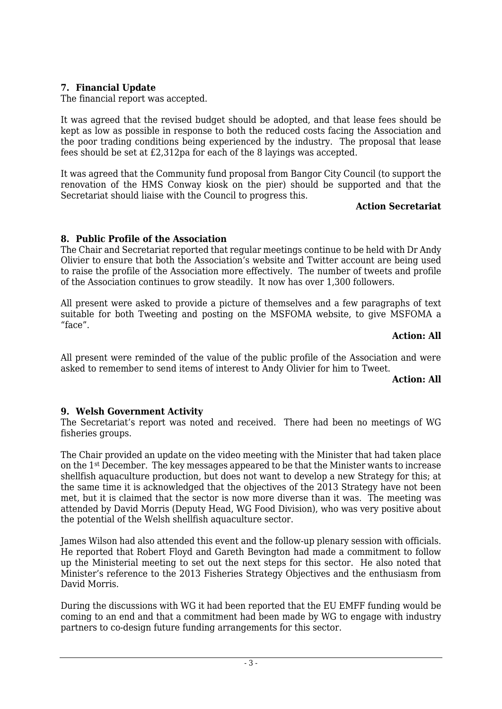## **7. Financial Update**

The financial report was accepted.

It was agreed that the revised budget should be adopted, and that lease fees should be kept as low as possible in response to both the reduced costs facing the Association and the poor trading conditions being experienced by the industry. The proposal that lease fees should be set at £2,312pa for each of the 8 layings was accepted.

It was agreed that the Community fund proposal from Bangor City Council (to support the renovation of the HMS Conway kiosk on the pier) should be supported and that the Secretariat should liaise with the Council to progress this.

#### **Action Secretariat**

## **8. Public Profile of the Association**

The Chair and Secretariat reported that regular meetings continue to be held with Dr Andy Olivier to ensure that both the Association's website and Twitter account are being used to raise the profile of the Association more effectively. The number of tweets and profile of the Association continues to grow steadily. It now has over 1,300 followers.

All present were asked to provide a picture of themselves and a few paragraphs of text suitable for both Tweeting and posting on the MSFOMA website, to give MSFOMA a "face".

#### **Action: All**

All present were reminded of the value of the public profile of the Association and were asked to remember to send items of interest to Andy Olivier for him to Tweet.

#### **Action: All**

## **9. Welsh Government Activity**

The Secretariat's report was noted and received. There had been no meetings of WG fisheries groups.

The Chair provided an update on the video meeting with the Minister that had taken place on the 1st December. The key messages appeared to be that the Minister wants to increase shellfish aquaculture production, but does not want to develop a new Strategy for this; at the same time it is acknowledged that the objectives of the 2013 Strategy have not been met, but it is claimed that the sector is now more diverse than it was. The meeting was attended by David Morris (Deputy Head, WG Food Division), who was very positive about the potential of the Welsh shellfish aquaculture sector.

James Wilson had also attended this event and the follow-up plenary session with officials. He reported that Robert Floyd and Gareth Bevington had made a commitment to follow up the Ministerial meeting to set out the next steps for this sector. He also noted that Minister's reference to the 2013 Fisheries Strategy Objectives and the enthusiasm from David Morris.

During the discussions with WG it had been reported that the EU EMFF funding would be coming to an end and that a commitment had been made by WG to engage with industry partners to co-design future funding arrangements for this sector.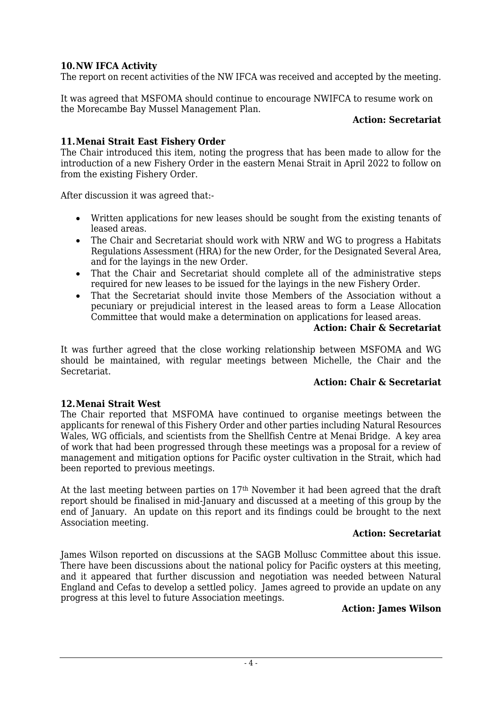## **10.NW IFCA Activity**

The report on recent activities of the NW IFCA was received and accepted by the meeting.

It was agreed that MSFOMA should continue to encourage NWIFCA to resume work on the Morecambe Bay Mussel Management Plan.

#### **Action: Secretariat**

## **11.Menai Strait East Fishery Order**

The Chair introduced this item, noting the progress that has been made to allow for the introduction of a new Fishery Order in the eastern Menai Strait in April 2022 to follow on from the existing Fishery Order.

After discussion it was agreed that:-

- Written applications for new leases should be sought from the existing tenants of leased areas.
- The Chair and Secretariat should work with NRW and WG to progress a Habitats Regulations Assessment (HRA) for the new Order, for the Designated Several Area, and for the layings in the new Order.
- That the Chair and Secretariat should complete all of the administrative steps required for new leases to be issued for the layings in the new Fishery Order.
- That the Secretariat should invite those Members of the Association without a pecuniary or prejudicial interest in the leased areas to form a Lease Allocation Committee that would make a determination on applications for leased areas.

#### **Action: Chair & Secretariat**

It was further agreed that the close working relationship between MSFOMA and WG should be maintained, with regular meetings between Michelle, the Chair and the Secretariat.

#### **Action: Chair & Secretariat**

#### **12.Menai Strait West**

The Chair reported that MSFOMA have continued to organise meetings between the applicants for renewal of this Fishery Order and other parties including Natural Resources Wales, WG officials, and scientists from the Shellfish Centre at Menai Bridge. A key area of work that had been progressed through these meetings was a proposal for a review of management and mitigation options for Pacific oyster cultivation in the Strait, which had been reported to previous meetings.

At the last meeting between parties on 17th November it had been agreed that the draft report should be finalised in mid-January and discussed at a meeting of this group by the end of January. An update on this report and its findings could be brought to the next Association meeting.

#### **Action: Secretariat**

James Wilson reported on discussions at the SAGB Mollusc Committee about this issue. There have been discussions about the national policy for Pacific oysters at this meeting, and it appeared that further discussion and negotiation was needed between Natural England and Cefas to develop a settled policy. James agreed to provide an update on any progress at this level to future Association meetings.

#### **Action: James Wilson**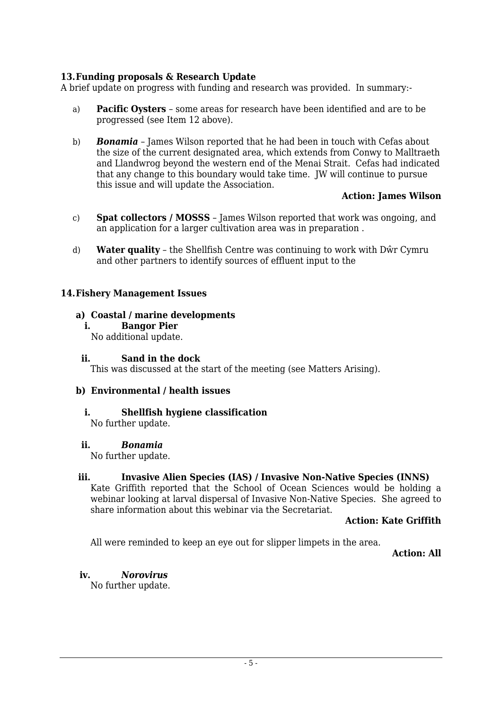## **13.Funding proposals & Research Update**

A brief update on progress with funding and research was provided. In summary:-

- a) **Pacific Oysters** some areas for research have been identified and are to be progressed (see Item 12 above).
- b) *Bonamia* James Wilson reported that he had been in touch with Cefas about the size of the current designated area, which extends from Conwy to Malltraeth and Llandwrog beyond the western end of the Menai Strait. Cefas had indicated that any change to this boundary would take time. JW will continue to pursue this issue and will update the Association.

#### **Action: James Wilson**

- c) **Spat collectors / MOSSS** James Wilson reported that work was ongoing, and an application for a larger cultivation area was in preparation .
- d) **Water quality** the Shellfish Centre was continuing to work with Dŵr Cymru and other partners to identify sources of effluent input to the

#### **14.Fishery Management Issues**

#### **a) Coastal / marine developments**

**i. Bangor Pier**

No additional update.

#### **ii. Sand in the dock**

This was discussed at the start of the meeting (see Matters Arising).

#### **b) Environmental / health issues**

#### **i. Shellfish hygiene classification**

No further update.

#### **ii.** *Bonamia*

No further update.

#### **iii. Invasive Alien Species (IAS) / Invasive Non-Native Species (INNS)**

Kate Griffith reported that the School of Ocean Sciences would be holding a webinar looking at larval dispersal of Invasive Non-Native Species. She agreed to share information about this webinar via the Secretariat.

#### **Action: Kate Griffith**

All were reminded to keep an eye out for slipper limpets in the area.

**Action: All**

## **iv.** *Norovirus*

No further update.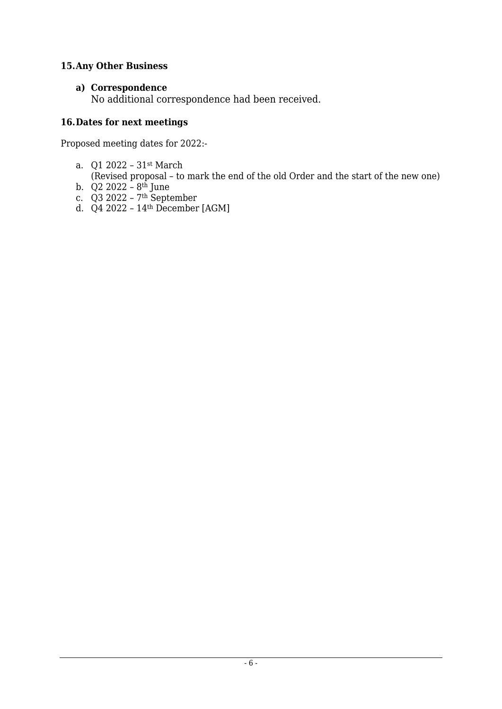## **15.Any Other Business**

## **a) Correspondence**

No additional correspondence had been received.

## **16.Dates for next meetings**

Proposed meeting dates for 2022:-

- a. Q1 2022 31st March
- (Revised proposal to mark the end of the old Order and the start of the new one)
- b. Q2 2022 8th June
- c. Q3 2022 7th September
- d. Q4 2022 14th December [AGM]